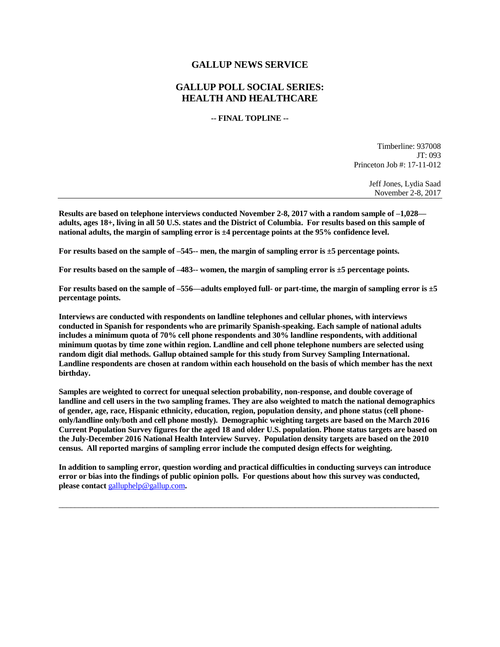# **GALLUP NEWS SERVICE**

# **GALLUP POLL SOCIAL SERIES: HEALTH AND HEALTHCARE**

#### **-- FINAL TOPLINE --**

Timberline: 937008 JT: 093 Princeton Job #: 17-11-012

> Jeff Jones, Lydia Saad November 2-8, 2017

**Results are based on telephone interviews conducted November 2-8, 2017 with a random sample of –1,028 adults, ages 18+, living in all 50 U.S. states and the District of Columbia. For results based on this sample of national adults, the margin of sampling error is ±4 percentage points at the 95% confidence level.** 

**For results based on the sample of –545-- men, the margin of sampling error is ±5 percentage points.**

**For results based on the sample of –483-- women, the margin of sampling error is ±5 percentage points.**

**For results based on the sample of –556—adults employed full- or part-time, the margin of sampling error is ±5 percentage points.**

**Interviews are conducted with respondents on landline telephones and cellular phones, with interviews conducted in Spanish for respondents who are primarily Spanish-speaking. Each sample of national adults includes a minimum quota of 70% cell phone respondents and 30% landline respondents, with additional minimum quotas by time zone within region. Landline and cell phone telephone numbers are selected using random digit dial methods. Gallup obtained sample for this study from Survey Sampling International. Landline respondents are chosen at random within each household on the basis of which member has the next birthday.**

**Samples are weighted to correct for unequal selection probability, non-response, and double coverage of landline and cell users in the two sampling frames. They are also weighted to match the national demographics of gender, age, race, Hispanic ethnicity, education, region, population density, and phone status (cell phoneonly/landline only/both and cell phone mostly). Demographic weighting targets are based on the March 2016 Current Population Survey figures for the aged 18 and older U.S. population. Phone status targets are based on the July-December 2016 National Health Interview Survey. Population density targets are based on the 2010 census. All reported margins of sampling error include the computed design effects for weighting.** 

**In addition to sampling error, question wording and practical difficulties in conducting surveys can introduce error or bias into the findings of public opinion polls. For questions about how this survey was conducted, please contact** [galluphelp@gallup.com](mailto:galluphelp@gallup.com)**.**

 $\_$  ,  $\_$  ,  $\_$  ,  $\_$  ,  $\_$  ,  $\_$  ,  $\_$  ,  $\_$  ,  $\_$  ,  $\_$  ,  $\_$  ,  $\_$  ,  $\_$  ,  $\_$  ,  $\_$  ,  $\_$  ,  $\_$  ,  $\_$  ,  $\_$  ,  $\_$  ,  $\_$  ,  $\_$  ,  $\_$  ,  $\_$  ,  $\_$  ,  $\_$  ,  $\_$  ,  $\_$  ,  $\_$  ,  $\_$  ,  $\_$  ,  $\_$  ,  $\_$  ,  $\_$  ,  $\_$  ,  $\_$  ,  $\_$  ,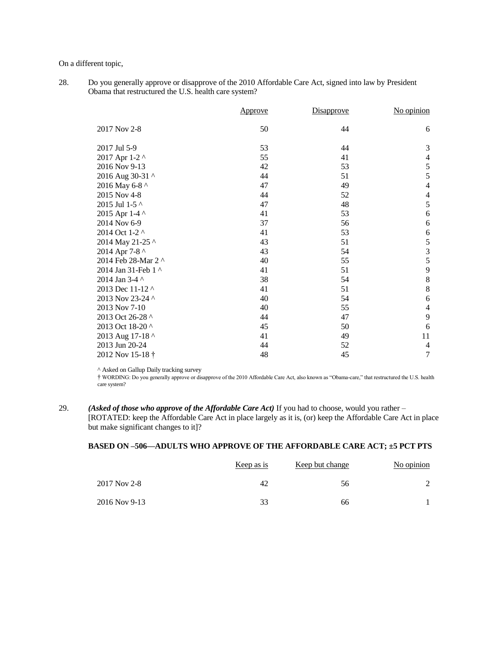On a different topic,

28. Do you generally approve or disapprove of the 2010 Affordable Care Act, signed into law by President Obama that restructured the U.S. health care system?

|                     | Approve | Disapprove | No opinion       |
|---------------------|---------|------------|------------------|
| 2017 Nov 2-8        | 50      | 44         | 6                |
| 2017 Jul 5-9        | 53      | 44         | 3                |
| 2017 Apr 1-2 ^      | 55      | 41         | $\overline{4}$   |
| 2016 Nov 9-13       | 42      | 53         | 5                |
| 2016 Aug 30-31 ^    | 44      | 51         | 5                |
| 2016 May 6-8 ^      | 47      | 49         | $\overline{4}$   |
| 2015 Nov 4-8        | 44      | 52         | $\overline{4}$   |
| 2015 Jul 1-5 ^      | 47      | 48         | 5                |
| 2015 Apr 1-4 ^      | 41      | 53         | 6                |
| 2014 Nov 6-9        | 37      | 56         | 6                |
| 2014 Oct 1-2 ^      | 41      | 53         | 6                |
| 2014 May 21-25 ^    | 43      | 51         | 5                |
| 2014 Apr 7-8 ^      | 43      | 54         |                  |
| 2014 Feb 28-Mar 2 ^ | 40      | 55         | $\frac{3}{5}$    |
| 2014 Jan 31-Feb 1 ^ | 41      | 51         | 9                |
| 2014 Jan 3-4 ^      | 38      | 54         | 8                |
| 2013 Dec 11-12 ^    | 41      | 51         | 8                |
| 2013 Nov 23-24 ^    | 40      | 54         | 6                |
| 2013 Nov 7-10       | 40      | 55         | $\overline{4}$   |
| 2013 Oct 26-28 ^    | 44      | 47         | 9                |
| 2013 Oct 18-20 ^    | 45      | 50         | 6                |
| 2013 Aug 17-18 ^    | 41      | 49         | 11               |
| 2013 Jun 20-24      | 44      | 52         | $\overline{4}$   |
| 2012 Nov 15-18 †    | 48      | 45         | $\boldsymbol{7}$ |

^ Asked on Gallup Daily tracking survey

† WORDING: Do you generally approve or disapprove of the 2010 Affordable Care Act, also known as "Obama-care," that restructured the U.S. health care system?

29. *(Asked of those who approve of the Affordable Care Act)* If you had to choose, would you rather – [ROTATED: keep the Affordable Care Act in place largely as it is, (or) keep the Affordable Care Act in place but make significant changes to it]?

### **BASED ON –506—ADULTS WHO APPROVE OF THE AFFORDABLE CARE ACT; ±5 PCT PTS**

|               | <u>Keep as is</u> | <u>Keep but change</u> | No opinion |
|---------------|-------------------|------------------------|------------|
| 2017 Nov 2-8  | 42                | 56                     |            |
| 2016 Nov 9-13 | 33                | 66                     |            |